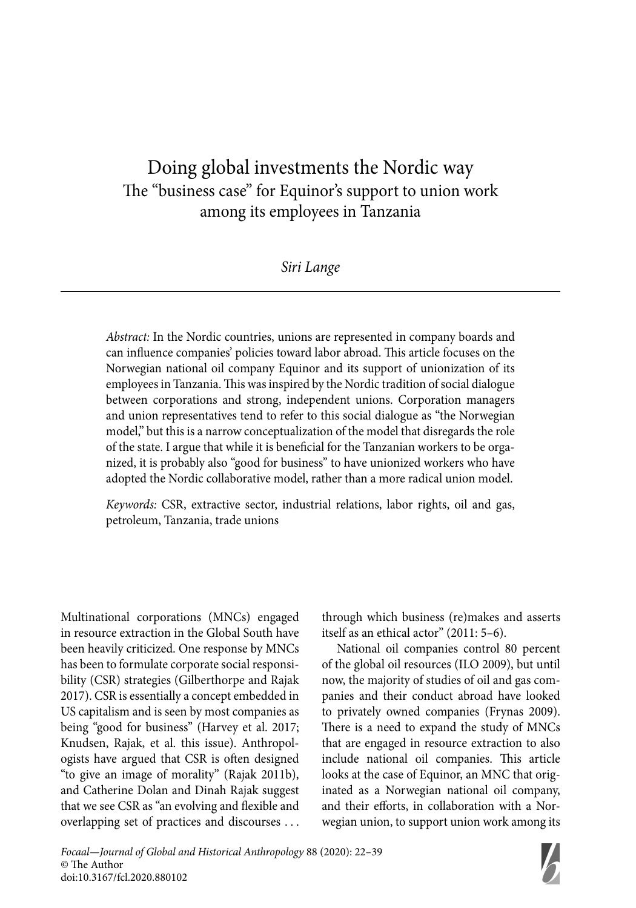# Doing global investments the Nordic way The "business case" for Equinor's support to union work among its employees in Tanzania

*Siri Lange*

*Abstract:* In the Nordic countries, unions are represented in company boards and can influence companies' policies toward labor abroad. This article focuses on the Norwegian national oil company Equinor and its support of unionization of its employees in Tanzania. This was inspired by the Nordic tradition of social dialogue between corporations and strong, independent unions. Corporation managers and union representatives tend to refer to this social dialogue as "the Norwegian model," but this is a narrow conceptualization of the model that disregards the role of the state. I argue that while it is beneficial for the Tanzanian workers to be organized, it is probably also "good for business" to have unionized workers who have adopted the Nordic collaborative model, rather than a more radical union model.

*Keywords:* CSR, extractive sector, industrial relations, labor rights, oil and gas, petroleum, Tanzania, trade unions

Multinational corporations (MNCs) engaged in resource extraction in the Global South have been heavily criticized. One response by MNCs has been to formulate corporate social responsibility (CSR) strategies (Gilberthorpe and Rajak 2017). CSR is essentially a concept embedded in US capitalism and is seen by most companies as being "good for business" (Harvey et al. 2017; Knudsen, Rajak, et al. this issue). Anthropologists have argued that CSR is often designed "to give an image of morality" (Rajak 2011b), and Catherine Dolan and Dinah Rajak suggest that we see CSR as "an evolving and flexible and overlapping set of practices and discourses . . .

through which business (re)makes and asserts itself as an ethical actor" (2011: 5–6).

National oil companies control 80 percent of the global oil resources (ILO 2009), but until now, the majority of studies of oil and gas companies and their conduct abroad have looked to privately owned companies (Frynas 2009). There is a need to expand the study of MNCs that are engaged in resource extraction to also include national oil companies. This article looks at the case of Equinor, an MNC that originated as a Norwegian national oil company, and their efforts, in collaboration with a Norwegian union, to support union work among its

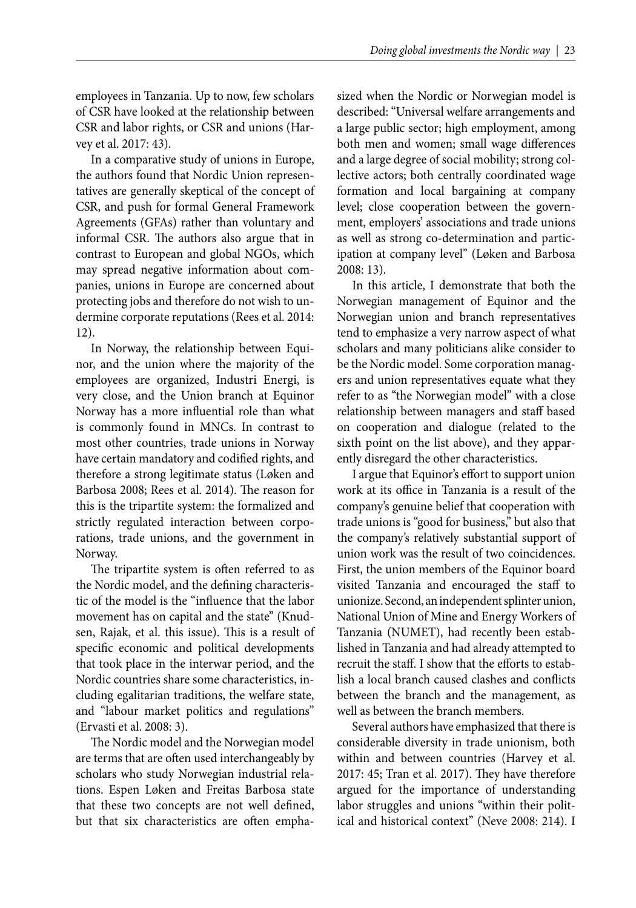employees in Tanzania. Up to now, few scholars of CSR have looked at the relationship between CSR and labor rights, or CSR and unions (Harvey et al. 2017: 43).

In a comparative study of unions in Europe, the authors found that Nordic Union representatives are generally skeptical of the concept of CSR, and push for formal General Framework Agreements (GFAs) rather than voluntary and informal CSR. The authors also argue that in contrast to European and global NGOs, which may spread negative information about companies, unions in Europe are concerned about protecting jobs and therefore do not wish to undermine corporate reputations (Rees et al. 2014: 12).

In Norway, the relationship between Equinor, and the union where the majority of the employees are organized, Industri Energi, is very close, and the Union branch at Equinor Norway has a more influential role than what is commonly found in MNCs. In contrast to most other countries, trade unions in Norway have certain mandatory and codified rights, and therefore a strong legitimate status (Løken and Barbosa 2008; Rees et al. 2014). The reason for this is the tripartite system: the formalized and strictly regulated interaction between corporations, trade unions, and the government in Norway.

The tripartite system is often referred to as the Nordic model, and the defining characteristic of the model is the "influence that the labor movement has on capital and the state" (Knudsen, Rajak, et al. this issue). This is a result of specific economic and political developments that took place in the interwar period, and the Nordic countries share some characteristics, including egalitarian traditions, the welfare state, and "labour market politics and regulations" (Ervasti et al. 2008: 3).

The Nordic model and the Norwegian model are terms that are often used interchangeably by scholars who study Norwegian industrial relations. Espen Løken and Freitas Barbosa state that these two concepts are not well defined, but that six characteristics are often emphasized when the Nordic or Norwegian model is described: "Universal welfare arrangements and a large public sector; high employment, among both men and women; small wage differences and a large degree of social mobility; strong collective actors; both centrally coordinated wage formation and local bargaining at company level; close cooperation between the government, employers' associations and trade unions as well as strong co-determination and participation at company level" (Løken and Barbosa 2008: 13).

In this article, I demonstrate that both the Norwegian management of Equinor and the Norwegian union and branch representatives tend to emphasize a very narrow aspect of what scholars and many politicians alike consider to be the Nordic model. Some corporation managers and union representatives equate what they refer to as "the Norwegian model" with a close relationship between managers and staff based on cooperation and dialogue (related to the sixth point on the list above), and they apparently disregard the other characteristics.

I argue that Equinor's effort to support union work at its office in Tanzania is a result of the company's genuine belief that cooperation with trade unions is "good for business," but also that the company's relatively substantial support of union work was the result of two coincidences. First, the union members of the Equinor board visited Tanzania and encouraged the staff to unionize. Second, an independent splinter union, National Union of Mine and Energy Workers of Tanzania (NUMET), had recently been established in Tanzania and had already attempted to recruit the staff. I show that the efforts to establish a local branch caused clashes and conflicts between the branch and the management, as well as between the branch members.

Several authors have emphasized that there is considerable diversity in trade unionism, both within and between countries (Harvey et al. 2017: 45; Tran et al. 2017). They have therefore argued for the importance of understanding labor struggles and unions "within their political and historical context" (Neve 2008: 214). I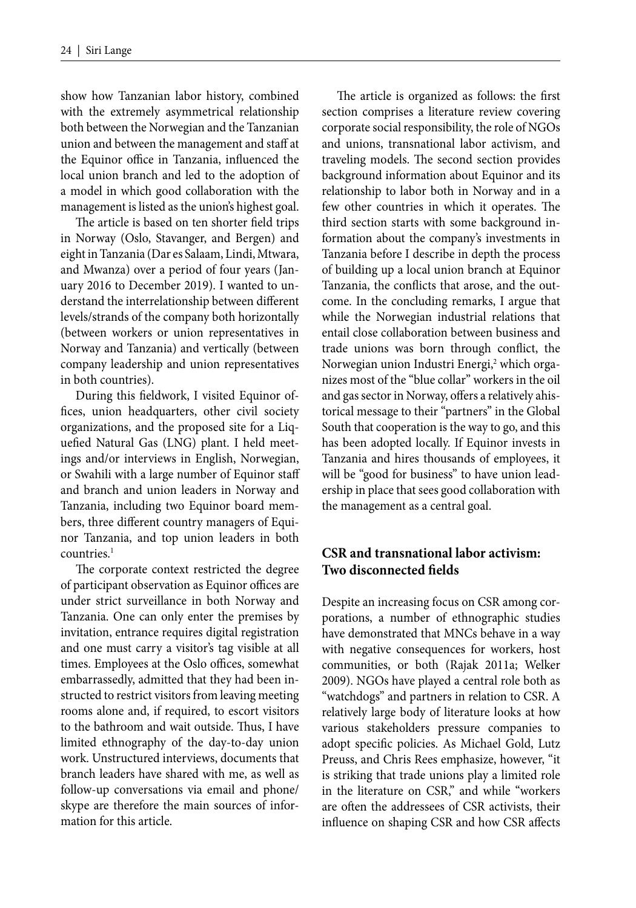show how Tanzanian labor history, combined with the extremely asymmetrical relationship both between the Norwegian and the Tanzanian union and between the management and staff at the Equinor office in Tanzania, influenced the local union branch and led to the adoption of a model in which good collaboration with the management is listed as the union's highest goal.

The article is based on ten shorter field trips in Norway (Oslo, Stavanger, and Bergen) and eight in Tanzania (Dar es Salaam, Lindi, Mtwara, and Mwanza) over a period of four years (January 2016 to December 2019). I wanted to understand the interrelationship between different levels/strands of the company both horizontally (between workers or union representatives in Norway and Tanzania) and vertically (between company leadership and union representatives in both countries).

During this fieldwork, I visited Equinor offices, union headquarters, other civil society organizations, and the proposed site for a Liquefied Natural Gas (LNG) plant. I held meetings and/or interviews in English, Norwegian, or Swahili with a large number of Equinor staff and branch and union leaders in Norway and Tanzania, including two Equinor board members, three different country managers of Equinor Tanzania, and top union leaders in both countries.<sup>1</sup>

The corporate context restricted the degree of participant observation as Equinor offices are under strict surveillance in both Norway and Tanzania. One can only enter the premises by invitation, entrance requires digital registration and one must carry a visitor's tag visible at all times. Employees at the Oslo offices, somewhat embarrassedly, admitted that they had been instructed to restrict visitors from leaving meeting rooms alone and, if required, to escort visitors to the bathroom and wait outside. Thus, I have limited ethnography of the day-to-day union work. Unstructured interviews, documents that branch leaders have shared with me, as well as follow-up conversations via email and phone/ skype are therefore the main sources of information for this article.

The article is organized as follows: the first section comprises a literature review covering corporate social responsibility, the role of NGOs and unions, transnational labor activism, and traveling models. The second section provides background information about Equinor and its relationship to labor both in Norway and in a few other countries in which it operates. The third section starts with some background information about the company's investments in Tanzania before I describe in depth the process of building up a local union branch at Equinor Tanzania, the conflicts that arose, and the outcome. In the concluding remarks, I argue that while the Norwegian industrial relations that entail close collaboration between business and trade unions was born through conflict, the Norwegian union Industri Energi,<sup>2</sup> which organizes most of the "blue collar" workers in the oil and gas sector in Norway, offers a relatively ahistorical message to their "partners" in the Global South that cooperation is the way to go, and this has been adopted locally. If Equinor invests in Tanzania and hires thousands of employees, it will be "good for business" to have union leadership in place that sees good collaboration with the management as a central goal.

# **CSR and transnational labor activism: Two disconnected fields**

Despite an increasing focus on CSR among corporations, a number of ethnographic studies have demonstrated that MNCs behave in a way with negative consequences for workers, host communities, or both (Rajak 2011a; Welker 2009). NGOs have played a central role both as "watchdogs" and partners in relation to CSR. A relatively large body of literature looks at how various stakeholders pressure companies to adopt specific policies. As Michael Gold, Lutz Preuss, and Chris Rees emphasize, however, "it is striking that trade unions play a limited role in the literature on CSR," and while "workers are often the addressees of CSR activists, their influence on shaping CSR and how CSR affects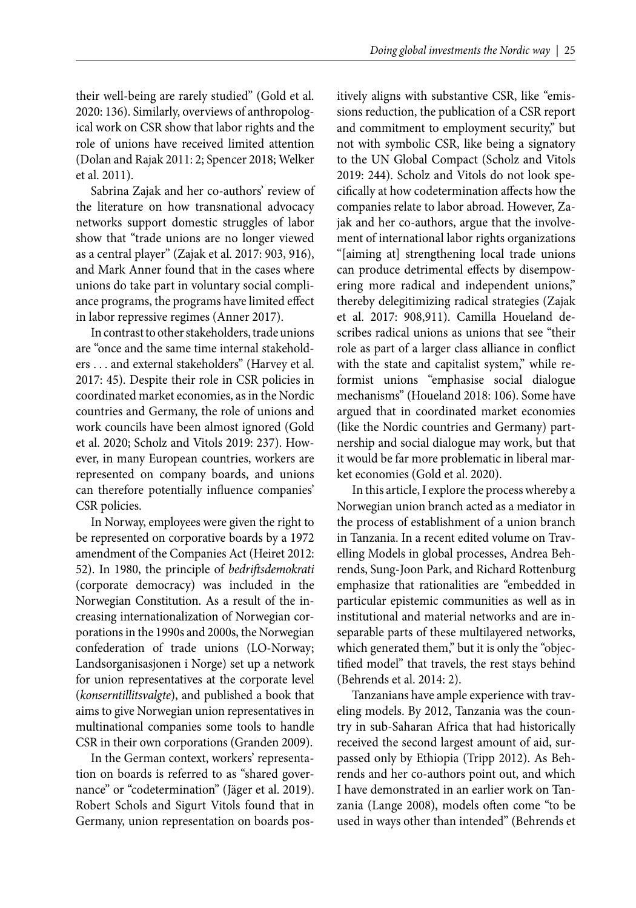their well-being are rarely studied" (Gold et al. 2020: 136). Similarly, overviews of anthropological work on CSR show that labor rights and the role of unions have received limited attention (Dolan and Rajak 2011: 2; Spencer 2018; Welker et al. 2011).

Sabrina Zajak and her co-authors' review of the literature on how transnational advocacy networks support domestic struggles of labor show that "trade unions are no longer viewed as a central player" (Zajak et al. 2017: 903, 916), and Mark Anner found that in the cases where unions do take part in voluntary social compliance programs, the programs have limited effect in labor repressive regimes (Anner 2017).

In contrast to other stakeholders, trade unions are "once and the same time internal stakeholders . . . and external stakeholders" (Harvey et al. 2017: 45). Despite their role in CSR policies in coordinated market economies, as in the Nordic countries and Germany, the role of unions and work councils have been almost ignored (Gold et al. 2020; Scholz and Vitols 2019: 237). However, in many European countries, workers are represented on company boards, and unions can therefore potentially influence companies' CSR policies.

In Norway, employees were given the right to be represented on corporative boards by a 1972 amendment of the Companies Act (Heiret 2012: 52). In 1980, the principle of *bedrift sdemokrati* (corporate democracy) was included in the Nor wegian Constitution. As a result of the increasing internationalization of Norwegian corporations in the 1990s and 2000s, the Norwegian confederation of trade unions (LO-Norway; Landsorganisasjonen i Norge) set up a network for union representatives at the corporate level (*konserntillitsvalgte*), and published a book that aims to give Norwegian union representatives in multinational companies some tools to handle CSR in their own corporations (Granden 2009).

In the German context, workers' representation on boards is referred to as "shared governance" or "codetermination" (Jäger et al. 2019). Robert Schols and Sigurt Vitols found that in Germany, union representation on boards pos-

itively aligns with substantive CSR, like "emissions reduction, the publication of a CSR report and commitment to employment security," but not with symbolic CSR, like being a signatory to the UN Global Compact (Scholz and Vitols 2019: 244). Scholz and Vitols do not look specifically at how codetermination affects how the companies relate to labor abroad. However, Zajak and her co-authors, argue that the involvement of international labor rights organizations "[aiming at] strengthening local trade unions can produce detrimental effects by disempowering more radical and independent unions," thereby delegitimizing radical strategies (Zajak et al. 2017: 908,911). Camilla Houeland describes radical unions as unions that see "their role as part of a larger class alliance in conflict with the state and capitalist system," while reformist unions "emphasise social dialogue mechanisms" (Houeland 2018: 106). Some have argued that in coordinated market economies (like the Nordic countries and Germany) partnership and social dialogue may work, but that it would be far more problematic in liberal market economies (Gold et al. 2020).

In this article, I explore the process whereby a Norwegian union branch acted as a mediator in the process of establishment of a union branch in Tanzania. In a recent edited volume on Travelling Models in global processes, Andrea Behrends, Sung-Joon Park, and Richard Rottenburg emphasize that rationalities are "embedded in particular epistemic communities as well as in institutional and material networks and are inseparable parts of these multilayered networks, which generated them," but it is only the "objectified model" that travels, the rest stays behind (Behrends et al. 2014: 2).

Tanzanians have ample experience with traveling models. By 2012, Tanzania was the country in sub-Saharan Africa that had historically received the second largest amount of aid, surpassed only by Ethiopia (Tripp 2012). As Behrends and her co-authors point out, and which I have demonstrated in an earlier work on Tanzania (Lange 2008), models often come "to be used in ways other than intended" (Behrends et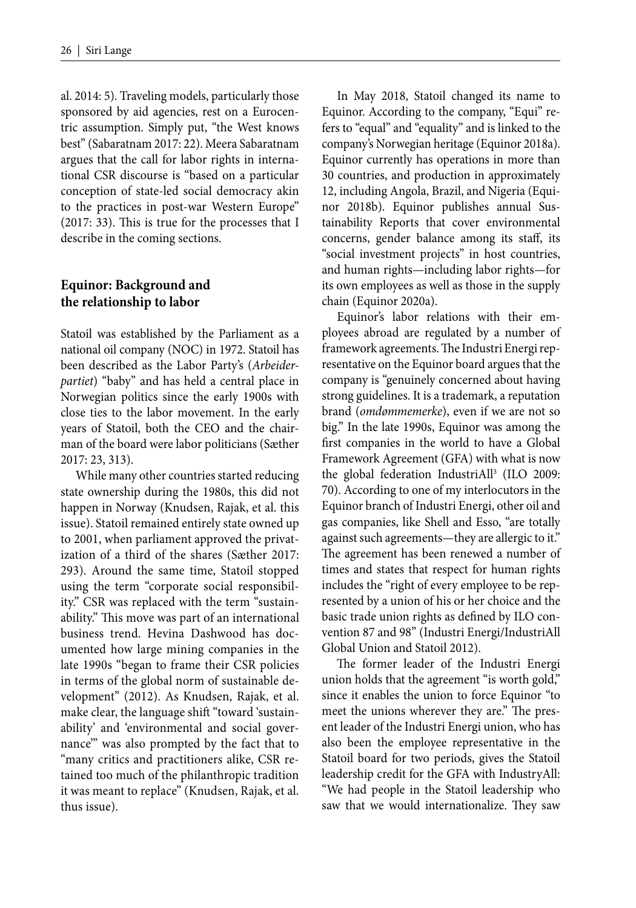al. 2014: 5). Traveling models, particularly those sponsored by aid agencies, rest on a Eurocentric assumption. Simply put, "the West knows best" (Sabaratnam 2017: 22). Meera Sabaratnam argues that the call for labor rights in international CSR discourse is "based on a particular conception of state-led social democracy akin to the practices in post-war Western Europe"  $(2017: 33)$ . This is true for the processes that I describe in the coming sections.

### **Equinor: Background and the relationship to labor**

Statoil was established by the Parliament as a national oil company (NOC) in 1972. Statoil has been described as the Labor Party's (*Arbeiderpartiet*) "baby" and has held a central place in Norwegian politics since the early 1900s with close ties to the labor movement. In the early years of Statoil, both the CEO and the chairman of the board were labor politicians (Sæther 2017: 23, 313).

While many other countries started reducing state ownership during the 1980s, this did not happen in Norway (Knudsen, Rajak, et al. this issue). Statoil remained entirely state owned up to 2001, when parliament approved the privatization of a third of the shares (Sæther 2017: 293). Around the same time, Statoil stopped using the term "corporate social responsibility." CSR was replaced with the term "sustainability." This move was part of an international business trend. Hevina Dashwood has documented how large mining companies in the late 1990s "began to frame their CSR policies in terms of the global norm of sustainable development" (2012). As Knudsen, Rajak, et al. make clear, the language shift "toward 'sustainability' and 'environmental and social governance'" was also prompted by the fact that to "many critics and practitioners alike, CSR retained too much of the philanthropic tradition it was meant to replace" (Knudsen, Rajak, et al. thus issue).

In May 2018, Statoil changed its name to Equinor. According to the company, "Equi" refers to "equal" and "equality" and is linked to the company's Norwegian heritage (Equinor 2018a). Equinor currently has operations in more than 30 countries, and production in approximately 12, including Angola, Brazil, and Nigeria (Equinor 2018b). Equinor publishes annual Sustainability Reports that cover environmental concerns, gender balance among its staff, its "social investment projects" in host countries, and human rights—including labor rights—for its own employees as well as those in the supply chain (Equinor 2020a).

Equinor's labor relations with their employees abroad are regulated by a number of framework agreements. The Industri Energi representative on the Equinor board argues that the company is "genuinely concerned about having strong guidelines. It is a trademark, a reputation brand (*omdømmemerke*), even if we are not so big." In the late 1990s, Equinor was among the first companies in the world to have a Global Framework Agreement (GFA) with what is now the global federation IndustriAll<sup>3</sup> (ILO 2009: 70). According to one of my interlocutors in the Equinor branch of Industri Energi, other oil and gas companies, like Shell and Esso, "are totally against such agreements—they are allergic to it." The agreement has been renewed a number of times and states that respect for human rights includes the "right of every employee to be represented by a union of his or her choice and the basic trade union rights as defined by ILO convention 87 and 98" (Industri Energi/IndustriAll Global Union and Statoil 2012).

The former leader of the Industri Energi union holds that the agreement "is worth gold," since it enables the union to force Equinor "to meet the unions wherever they are." The present leader of the Industri Energi union, who has also been the employee representative in the Statoil board for two periods, gives the Statoil leadership credit for the GFA with IndustryAll: "We had people in the Statoil leadership who saw that we would internationalize. They saw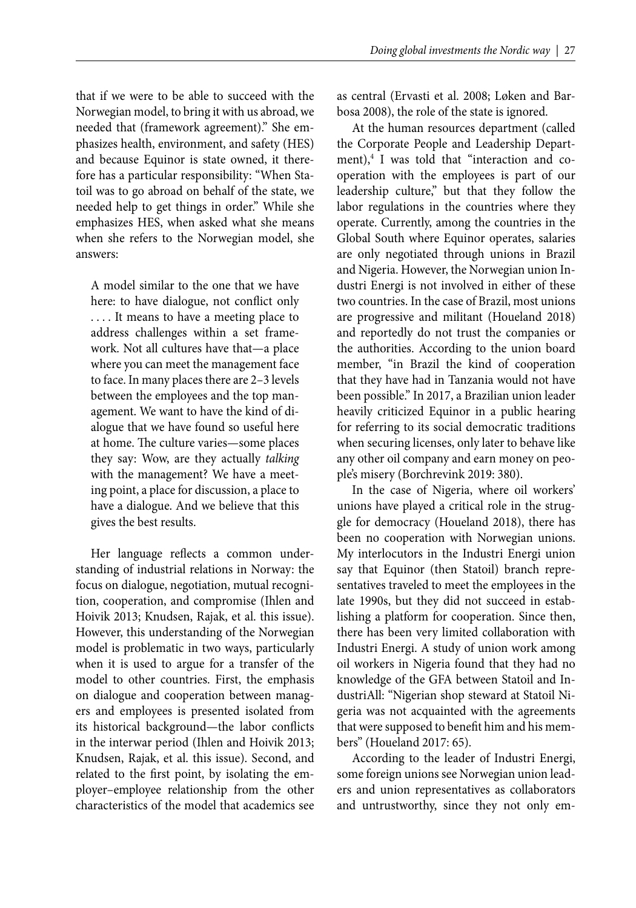that if we were to be able to succeed with the Norwegian model, to bring it with us abroad, we needed that (framework agreement)." She emphasizes health, environment, and safety (HES) and because Equinor is state owned, it therefore has a particular responsibility: "When Statoil was to go abroad on behalf of the state, we needed help to get things in order." While she emphasizes HES, when asked what she means when she refers to the Norwegian model, she answers:

A model similar to the one that we have here: to have dialogue, not conflict only . . . . It means to have a meeting place to address challenges within a set framework. Not all cultures have that—a place where you can meet the management face to face. In many places there are 2–3 levels between the employees and the top management. We want to have the kind of dialogue that we have found so useful here at home. The culture varies—some places they say: Wow, are they actually *talking*  with the management? We have a meeting point, a place for discussion, a place to have a dialogue. And we believe that this gives the best results.

Her language reflects a common understanding of industrial relations in Norway: the focus on dialogue, negotiation, mutual recognition, cooperation, and compromise (Ihlen and Hoivik 2013; Knudsen, Rajak, et al. this issue). However, this understanding of the Norwegian model is problematic in two ways, particularly when it is used to argue for a transfer of the model to other countries. First, the emphasis on dialogue and cooperation between managers and employees is presented isolated from its historical background—the labor conflicts in the interwar period (Ihlen and Hoivik 2013; Knudsen, Rajak, et al. this issue). Second, and related to the first point, by isolating the employer–employee relationship from the other characteristics of the model that academics see

as central (Ervasti et al. 2008; Løken and Barbosa 2008), the role of the state is ignored.

At the human resources department (called the Corporate People and Leadership Department),<sup>4</sup> I was told that "interaction and cooperation with the employees is part of our leadership culture," but that they follow the labor regulations in the countries where they operate. Currently, among the countries in the Global South where Equinor operates, salaries are only negotiated through unions in Brazil and Nigeria. However, the Norwegian union Industri Energi is not involved in either of these two countries. In the case of Brazil, most unions are progressive and militant (Houeland 2018) and reportedly do not trust the companies or the authorities. According to the union board member, "in Brazil the kind of cooperation that they have had in Tanzania would not have been possible." In 2017, a Brazilian union leader heavily criticized Equinor in a public hearing for referring to its social democratic traditions when securing licenses, only later to behave like any other oil company and earn money on people's misery (Borchrevink 2019: 380).

In the case of Nigeria, where oil workers' unions have played a critical role in the struggle for democracy (Houeland 2018), there has been no cooperation with Norwegian unions. My interlocutors in the Industri Energi union say that Equinor (then Statoil) branch representatives traveled to meet the employees in the late 1990s, but they did not succeed in establishing a platform for cooperation. Since then, there has been very limited collaboration with Industri Energi. A study of union work among oil workers in Nigeria found that they had no knowledge of the GFA between Statoil and IndustriAll: "Nigerian shop steward at Statoil Nigeria was not acquainted with the agreements that were supposed to benefit him and his members" (Houeland 2017: 65).

According to the leader of Industri Energi, some foreign unions see Norwegian union leaders and union representatives as collaborators and untrustworthy, since they not only em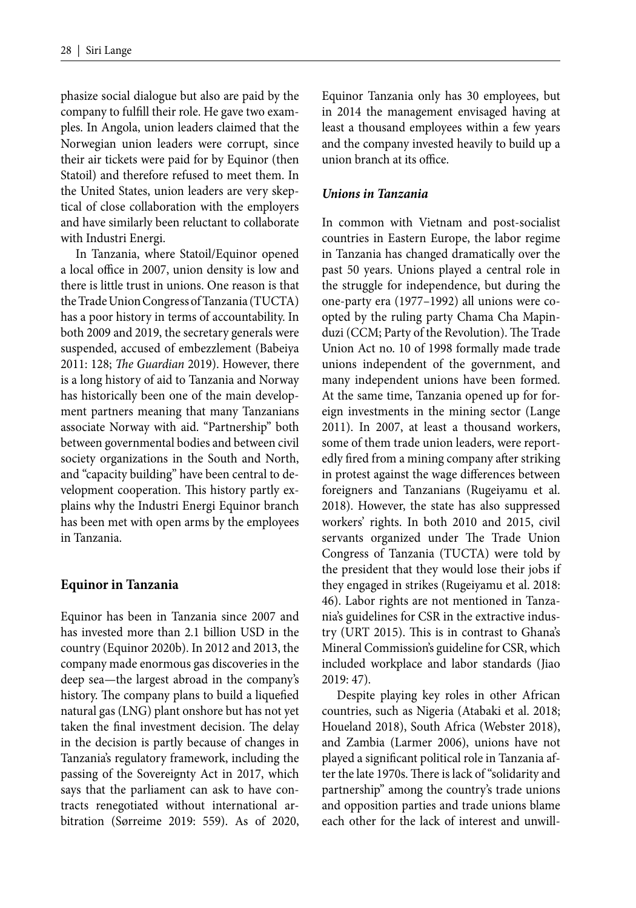phasize social dialogue but also are paid by the company to fulfill their role. He gave two examples. In Angola, union leaders claimed that the Norwegian union leaders were corrupt, since their air tickets were paid for by Equinor (then Statoil) and therefore refused to meet them. In the United States, union leaders are very skeptical of close collaboration with the employers and have similarly been reluctant to collaborate with Industri Energi.

In Tanzania, where Statoil/Equinor opened a local office in 2007, union density is low and there is little trust in unions. One reason is that the Trade Union Congress of Tanzania (TUCTA) has a poor history in terms of accountability. In both 2009 and 2019, the secretary generals were suspended, accused of embezzlement (Babeiya 2011: 128; *The Guardian* 2019). However, there is a long history of aid to Tanzania and Norway has historically been one of the main development partners meaning that many Tanzanians associate Norway with aid. "Partnership" both between governmental bodies and between civil society organizations in the South and North, and "capacity building" have been central to development cooperation. This history partly explains why the Industri Energi Equinor branch has been met with open arms by the employees in Tanzania.

#### **Equinor in Tanzania**

Equinor has been in Tanzania since 2007 and has invested more than 2.1 billion USD in the country (Equinor 2020b). In 2012 and 2013, the company made enormous gas discoveries in the deep sea—the largest abroad in the company's history. The company plans to build a liquefied natural gas (LNG) plant onshore but has not yet taken the final investment decision. The delay in the decision is partly because of changes in Tanzania's regulatory framework, including the passing of the Sovereignty Act in 2017, which says that the parliament can ask to have contracts renegotiated without international arbitration (Sørreime 2019: 559). As of 2020,

Equinor Tanzania only has 30 employees, but in 2014 the management envisaged having at least a thousand employees within a few years and the company invested heavily to build up a union branch at its office.

#### *Unions in Tanzania*

In common with Vietnam and post-socialist countries in Eastern Europe, the labor regime in Tanzania has changed dramatically over the past 50 years. Unions played a central role in the struggle for independence, but during the one-party era (1977–1992) all unions were coopted by the ruling party Chama Cha Mapinduzi (CCM; Party of the Revolution). The Trade Union Act no. 10 of 1998 formally made trade unions independent of the government, and many independent unions have been formed. At the same time, Tanzania opened up for foreign investments in the mining sector (Lange 2011). In 2007, at least a thousand workers, some of them trade union leaders, were reportedly fired from a mining company after striking in protest against the wage differences between foreigners and Tanzanians (Rugeiyamu et al. 2018). However, the state has also suppressed workers' rights. In both 2010 and 2015, civil servants organized under The Trade Union Congress of Tanzania (TUCTA) were told by the president that they would lose their jobs if they engaged in strikes (Rugeiyamu et al. 2018: 46). Labor rights are not mentioned in Tanzania's guidelines for CSR in the extractive industry (URT 2015). This is in contrast to Ghana's Mineral Commission's guideline for CSR, which included workplace and labor standards (Jiao 2019: 47).

Despite playing key roles in other African countries, such as Nigeria (Atabaki et al. 2018; Houeland 2018), South Africa (Webster 2018), and Zambia (Larmer 2006), unions have not played a significant political role in Tanzania after the late 1970s. There is lack of "solidarity and partnership" among the country's trade unions and opposition parties and trade unions blame each other for the lack of interest and unwill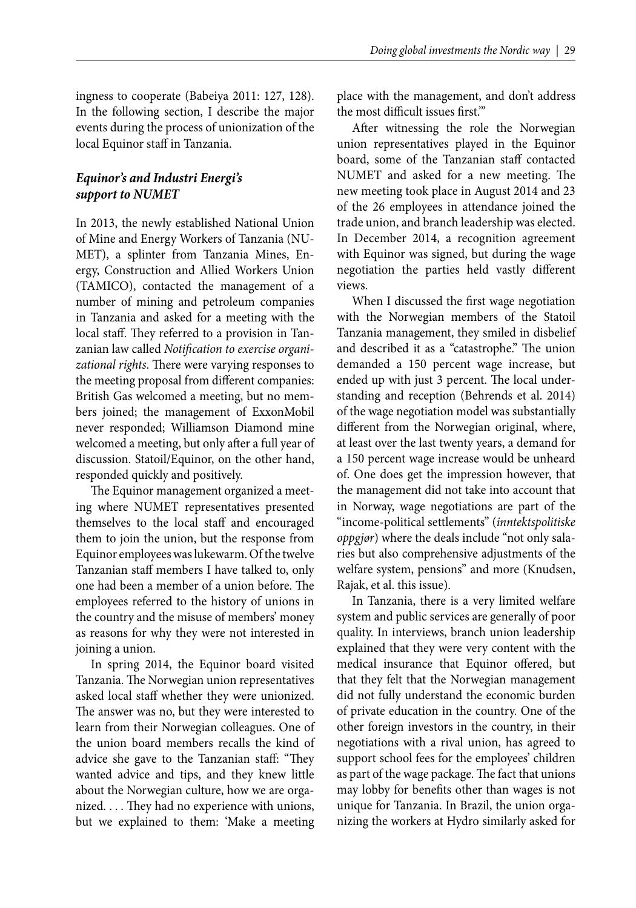ingness to cooperate (Babeiya 2011: 127, 128). In the following section, I describe the major events during the process of unionization of the local Equinor staff in Tanzania.

### *Equinor's and Industri Energi's support to NUMET*

In 2013, the newly established National Union of Mine and Energy Workers of Tanzania (NU-MET), a splinter from Tanzania Mines, Energy, Construction and Allied Workers Union (TAMICO), contacted the management of a number of mining and petroleum companies in Tanzania and asked for a meeting with the local staff. They referred to a provision in Tanzanian law called *Notification to exercise organi*zational rights. There were varying responses to the meeting proposal from different companies: British Gas welcomed a meeting, but no members joined; the management of ExxonMobil never responded; Williamson Diamond mine welcomed a meeting, but only after a full year of discussion. Statoil/Equinor, on the other hand, responded quickly and positively.

The Equinor management organized a meeting where NUMET representatives presented themselves to the local staff and encouraged them to join the union, but the response from Equinor employees was lukewarm. Of the twelve Tanzanian staff members I have talked to, only one had been a member of a union before. The employees referred to the history of unions in the country and the misuse of members' money as reasons for why they were not interested in joining a union.

In spring 2014, the Equinor board visited Tanzania. The Norwegian union representatives asked local staff whether they were unionized. The answer was no, but they were interested to learn from their Norwegian colleagues. One of the union board members recalls the kind of advice she gave to the Tanzanian staff: "They wanted advice and tips, and they knew little about the Norwegian culture, how we are organized.  $\dots$  They had no experience with unions, but we explained to them: 'Make a meeting

place with the management, and don't address the most difficult issues first."

After witnessing the role the Norwegian union representatives played in the Equinor board, some of the Tanzanian staff contacted NUMET and asked for a new meeting. The new meeting took place in August 2014 and 23 of the 26 employees in attendance joined the trade union, and branch leadership was elected. In December 2014, a recognition agreement with Equinor was signed, but during the wage negotiation the parties held vastly different views.

When I discussed the first wage negotiation with the Norwegian members of the Statoil Tanzania management, they smiled in disbelief and described it as a "catastrophe." The union demanded a 150 percent wage increase, but ended up with just 3 percent. The local understanding and reception (Behrends et al. 2014) of the wage negotiation model was substantially different from the Norwegian original, where, at least over the last twenty years, a demand for a 150 percent wage increase would be unheard of. One does get the impression however, that the management did not take into account that in Norway, wage negotiations are part of the "income-political settlements" (*inntektspolitiske oppgjør*) where the deals include "not only salaries but also comprehensive adjustments of the welfare system, pensions" and more (Knudsen, Rajak, et al. this issue).

In Tanzania, there is a very limited welfare system and public services are generally of poor quality. In interviews, branch union leadership explained that they were very content with the medical insurance that Equinor offered, but that they felt that the Norwegian management did not fully understand the economic burden of private education in the country. One of the other foreign investors in the country, in their negotiations with a rival union, has agreed to support school fees for the employees' children as part of the wage package. The fact that unions may lobby for benefits other than wages is not unique for Tanzania. In Brazil, the union organizing the workers at Hydro similarly asked for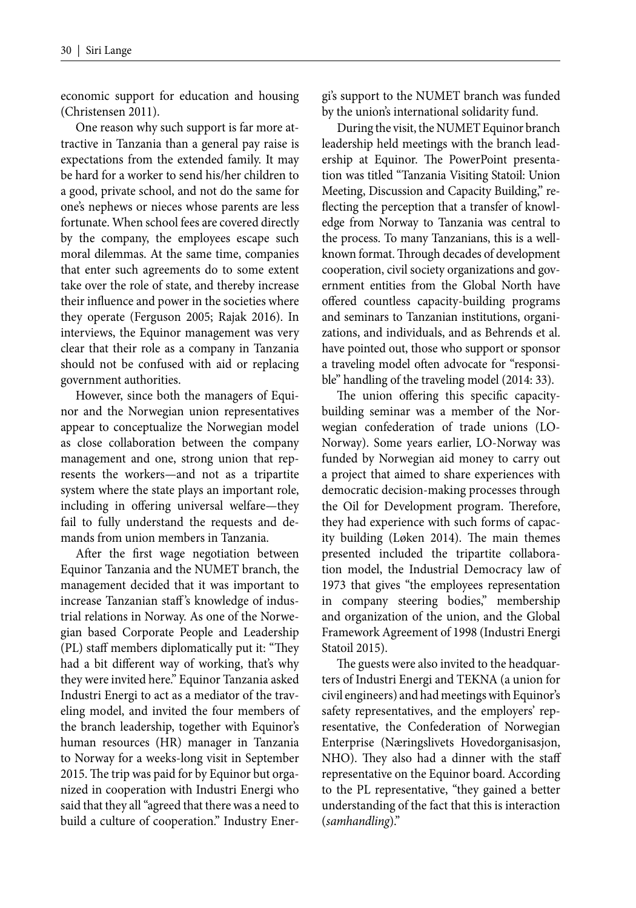economic support for education and housing (Christensen 2011).

One reason why such support is far more attractive in Tanzania than a general pay raise is expectations from the extended family. It may be hard for a worker to send his/her children to a good, private school, and not do the same for one's nephews or nieces whose parents are less fortunate. When school fees are covered directly by the company, the employees escape such moral dilemmas. At the same time, companies that enter such agreements do to some extent take over the role of state, and thereby increase their influence and power in the societies where they operate (Ferguson 2005; Rajak 2016). In interviews, the Equinor management was very clear that their role as a company in Tanzania should not be confused with aid or replacing government authorities.

However, since both the managers of Equinor and the Norwegian union representatives appear to conceptualize the Norwegian model as close collaboration between the company management and one, strong union that represents the workers—and not as a tripartite system where the state plays an important role, including in offering universal welfare—they fail to fully understand the requests and demands from union members in Tanzania.

After the first wage negotiation between Equinor Tanzania and the NUMET branch, the management decided that it was important to increase Tanzanian staff 's knowledge of industrial relations in Norway. As one of the Norwegian based Corporate People and Leadership (PL) staff members diplomatically put it: "They had a bit different way of working, that's why they were invited here." Equinor Tanzania asked Industri Energi to act as a mediator of the traveling model, and invited the four members of the branch leadership, together with Equinor's human resources (HR) manager in Tanzania to Norway for a weeks-long visit in September 2015. The trip was paid for by Equinor but organized in cooperation with Industri Energi who said that they all "agreed that there was a need to build a culture of cooperation." Industry Energi's support to the NUMET branch was funded by the union's international solidarity fund.

During the visit, the NUMET Equinor branch leadership held meetings with the branch leadership at Equinor. The PowerPoint presentation was titled "Tanzania Visiting Statoil: Union Meeting, Discussion and Capacity Building," reflecting the perception that a transfer of knowledge from Norway to Tanzania was central to the process. To many Tanzanians, this is a wellknown format. Through decades of development cooperation, civil society organizations and government entities from the Global North have offered countless capacity-building programs and seminars to Tanzanian institutions, organizations, and individuals, and as Behrends et al. have pointed out, those who support or sponsor a traveling model often advocate for "responsible" handling of the traveling model (2014: 33).

The union offering this specific capacitybuilding seminar was a member of the Norwegian confederation of trade unions (LO-Norway). Some years earlier, LO-Norway was funded by Norwegian aid money to carry out a project that aimed to share experiences with democratic decision-making processes through the Oil for Development program. Therefore, they had experience with such forms of capacity building (Løken 2014). The main themes presented included the tripartite collaboration model, the Industrial Democracy law of 1973 that gives "the employees representation in company steering bodies," membership and organization of the union, and the Global Framework Agreement of 1998 (Industri Energi Statoil 2015).

The guests were also invited to the headquarters of Industri Energi and TEKNA (a union for civil engineers) and had meetings with Equinor's safety representatives, and the employers' representative, the Confederation of Norwegian Enterprise (Næringslivets Hovedorganisasjon, NHO). They also had a dinner with the staff representative on the Equinor board. According to the PL representative, "they gained a better understanding of the fact that this is interaction (*samhandling*)."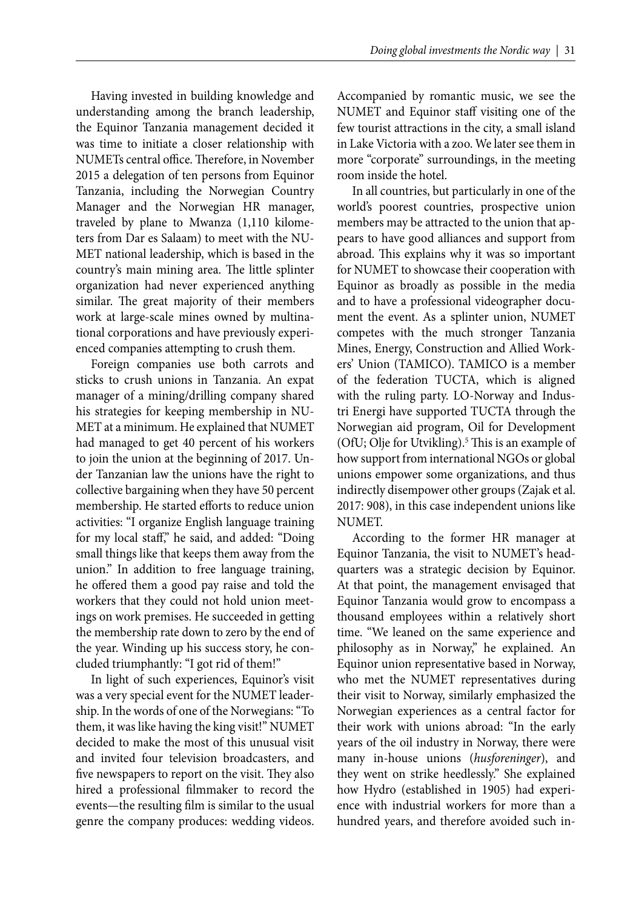Having invested in building knowledge and understanding among the branch leadership, the Equinor Tanzania management decided it was time to initiate a closer relationship with NUMETs central office. Therefore, in November 2015 a delegation of ten persons from Equinor Tanzania, including the Norwegian Country Manager and the Norwegian HR manager, traveled by plane to Mwanza (1,110 kilometers from Dar es Salaam) to meet with the NU-MET national leadership, which is based in the country's main mining area. The little splinter organization had never experienced anything similar. The great majority of their members work at large-scale mines owned by multinational corporations and have previously experienced companies attempting to crush them.

Foreign companies use both carrots and sticks to crush unions in Tanzania. An expat manager of a mining/drilling company shared his strategies for keeping membership in NU-MET at a minimum. He explained that NUMET had managed to get 40 percent of his workers to join the union at the beginning of 2017. Under Tanzanian law the unions have the right to collective bargaining when they have 50 percent membership. He started efforts to reduce union activities: "I organize English language training for my local staff," he said, and added: "Doing small things like that keeps them away from the union." In addition to free language training, he offered them a good pay raise and told the workers that they could not hold union meetings on work premises. He succeeded in getting the membership rate down to zero by the end of the year. Winding up his success story, he concluded triumphantly: "I got rid of them!"

In light of such experiences, Equinor's visit was a very special event for the NUMET leadership. In the words of one of the Norwegians: "To them, it was like having the king visit!" NUMET decided to make the most of this unusual visit and invited four television broadcasters, and five newspapers to report on the visit. They also hired a professional filmmaker to record the events—the resulting film is similar to the usual genre the company produces: wedding videos.

Accompanied by romantic music, we see the NUMET and Equinor staff visiting one of the few tourist attractions in the city, a small island in Lake Victoria with a zoo. We later see them in more "corporate" surroundings, in the meeting room inside the hotel.

In all countries, but particularly in one of the world's poorest countries, prospective union members may be attracted to the union that appears to have good alliances and support from abroad. This explains why it was so important for NUMET to showcase their cooperation with Equinor as broadly as possible in the media and to have a professional videographer document the event. As a splinter union, NUMET competes with the much stronger Tanzania Mines, Energy, Construction and Allied Workers' Union (TAMICO). TAMICO is a member of the federation TUCTA, which is aligned with the ruling party. LO-Norway and Industri Energi have supported TUCTA through the Norwegian aid program, Oil for Development (OfU; Olje for Utvikling).<sup>5</sup> This is an example of how support from international NGOs or global unions empower some organizations, and thus indirectly disempower other groups (Zajak et al. 2017: 908), in this case independent unions like NUMET.

According to the former HR manager at Equinor Tanzania, the visit to NUMET's headquarters was a strategic decision by Equinor. At that point, the management envisaged that Equinor Tanzania would grow to encompass a thousand employees within a relatively short time. "We leaned on the same experience and philosophy as in Norway," he explained. An Equinor union representative based in Norway, who met the NUMET representatives during their visit to Norway, similarly emphasized the Norwegian experiences as a central factor for their work with unions abroad: "In the early years of the oil industry in Norway, there were many in-house unions (*husforeninger*), and they went on strike heedlessly." She explained how Hydro (established in 1905) had experience with industrial workers for more than a hundred years, and therefore avoided such in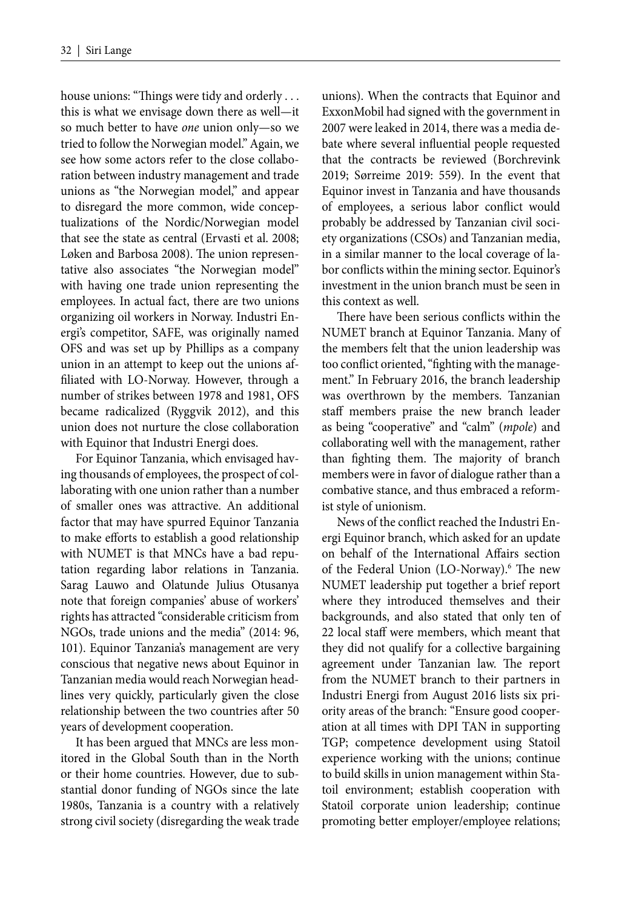house unions: "Things were tidy and orderly . . . this is what we envisage down there as well—it so much better to have *one* union only—so we tried to follow the Norwegian model." Again, we see how some actors refer to the close collaboration between industry management and trade unions as "the Norwegian model," and appear to disregard the more common, wide conceptualizations of the Nordic/Norwegian model that see the state as central (Ervasti et al. 2008; Løken and Barbosa 2008). The union representative also associates "the Norwegian model" with having one trade union representing the employees. In actual fact, there are two unions organizing oil workers in Norway. Industri Energi's competitor, SAFE, was originally named OFS and was set up by Phillips as a company union in an attempt to keep out the unions affiliated with LO-Norway. However, through a number of strikes between 1978 and 1981, OFS became radicalized (Ryggvik 2012), and this union does not nurture the close collaboration with Equinor that Industri Energi does.

For Equinor Tanzania, which envisaged having thousands of employees, the prospect of collaborating with one union rather than a number of smaller ones was attractive. An additional factor that may have spurred Equinor Tanzania to make efforts to establish a good relationship with NUMET is that MNCs have a bad reputation regarding labor relations in Tanzania. Sarag Lauwo and Olatunde Julius Otusanya note that foreign companies' abuse of workers' rights has attracted "considerable criticism from NGOs, trade unions and the media" (2014: 96, 101). Equinor Tanzania's management are very conscious that negative news about Equinor in Tanzanian media would reach Norwegian headlines very quickly, particularly given the close relationship between the two countries after 50 years of development cooperation.

It has been argued that MNCs are less monitored in the Global South than in the North or their home countries. However, due to substantial donor funding of NGOs since the late 1980s, Tanzania is a country with a relatively strong civil society (disregarding the weak trade

unions). When the contracts that Equinor and ExxonMobil had signed with the government in 2007 were leaked in 2014, there was a media debate where several influential people requested that the contracts be reviewed (Borchrevink 2019; Sørreime 2019: 559). In the event that Equinor invest in Tanzania and have thousands of employees, a serious labor conflict would probably be addressed by Tanzanian civil society organizations (CSOs) and Tanzanian media, in a similar manner to the local coverage of labor conflicts within the mining sector. Equinor's investment in the union branch must be seen in this context as well.

There have been serious conflicts within the NUMET branch at Equinor Tanzania. Many of the members felt that the union leadership was too conflict oriented, "fighting with the management." In February 2016, the branch leadership was overthrown by the members. Tanzanian staff members praise the new branch leader as being "cooperative" and "calm" (*mpole*) and collaborating well with the management, rather than fighting them. The majority of branch members were in favor of dialogue rather than a combative stance, and thus embraced a reformist style of unionism.

News of the conflict reached the Industri Energi Equinor branch, which asked for an update on behalf of the International Affairs section of the Federal Union (LO-Norway).<sup>6</sup> The new NUMET leadership put together a brief report where they introduced themselves and their backgrounds, and also stated that only ten of 22 local staff were members, which meant that they did not qualify for a collective bargaining agreement under Tanzanian law. The report from the NUMET branch to their partners in Industri Energi from August 2016 lists six priority areas of the branch: "Ensure good cooperation at all times with DPI TAN in supporting TGP; competence development using Statoil experience working with the unions; continue to build skills in union management within Statoil environment; establish cooperation with Statoil corporate union leadership; continue promoting better employer/employee relations;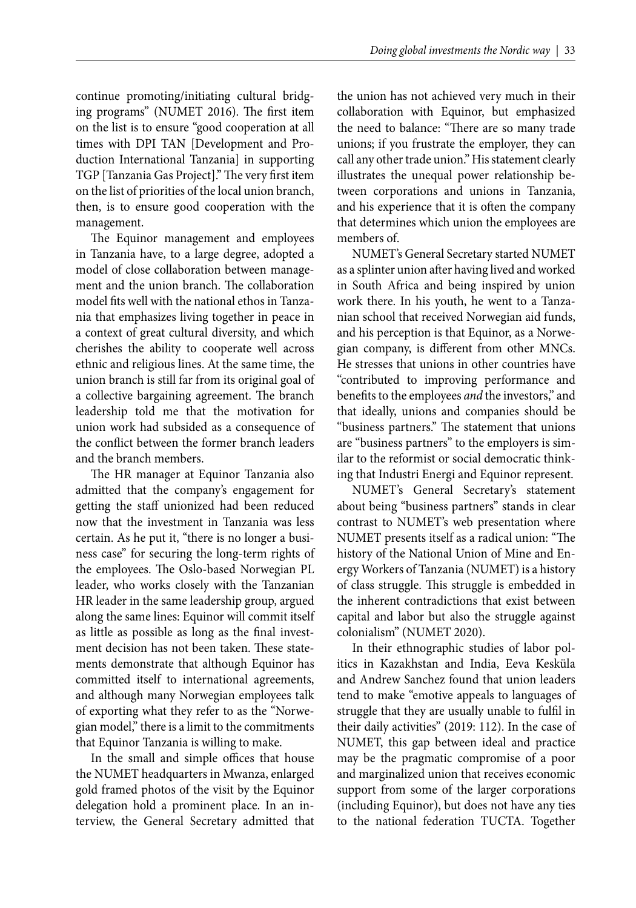continue promoting/initiating cultural bridging programs" (NUMET 2016). The first item on the list is to ensure "good cooperation at all times with DPI TAN [Development and Production International Tanzania] in supporting TGP [Tanzania Gas Project]." The very first item on the list of priorities of the local union branch, then, is to ensure good cooperation with the management.

The Equinor management and employees in Tanzania have, to a large degree, adopted a model of close collaboration between management and the union branch. The collaboration model fits well with the national ethos in Tanzania that emphasizes living together in peace in a context of great cultural diversity, and which cherishes the ability to cooperate well across ethnic and religious lines. At the same time, the union branch is still far from its original goal of a collective bargaining agreement. The branch leadership told me that the motivation for union work had subsided as a consequence of the conflict between the former branch leaders and the branch members.

The HR manager at Equinor Tanzania also admitted that the company's engagement for getting the staff unionized had been reduced now that the investment in Tanzania was less certain. As he put it, "there is no longer a business case" for securing the long-term rights of the employees. The Oslo-based Norwegian PL leader, who works closely with the Tanzanian HR leader in the same leadership group, argued along the same lines: Equinor will commit itself as little as possible as long as the final investment decision has not been taken. These statements demonstrate that although Equinor has committed itself to international agreements, and although many Norwegian employees talk of exporting what they refer to as the "Norwegian model," there is a limit to the commitments that Equinor Tanzania is willing to make.

In the small and simple offices that house the NUMET headquarters in Mwanza, enlarged gold framed photos of the visit by the Equinor delegation hold a prominent place. In an interview, the General Secretary admitted that the union has not achieved very much in their collaboration with Equinor, but emphasized the need to balance: "There are so many trade unions; if you frustrate the employer, they can call any other trade union." His statement clearly illustrates the unequal power relationship between corporations and unions in Tanzania, and his experience that it is often the company that determines which union the employees are members of.

NUMET's General Secretary started NUMET as a splinter union after having lived and worked in South Africa and being inspired by union work there. In his youth, he went to a Tanzanian school that received Norwegian aid funds, and his perception is that Equinor, as a Norwegian company, is different from other MNCs. He stresses that unions in other countries have "contributed to improving performance and benefits to the employees *and* the investors," and that ideally, unions and companies should be "business partners." The statement that unions are "business partners" to the employers is similar to the reformist or social democratic thinking that Industri Energi and Equinor represent.

NUMET's General Secretary's statement about being "business partners" stands in clear contrast to NUMET's web presentation where NUMET presents itself as a radical union: "The history of the National Union of Mine and Energy Workers of Tanzania (NUMET) is a history of class struggle. This struggle is embedded in the inherent contradictions that exist between capital and labor but also the struggle against colonialism" (NUMET 2020).

In their ethnographic studies of labor politics in Kazakhstan and India, Eeva Kesküla and Andrew Sanchez found that union leaders tend to make "emotive appeals to languages of struggle that they are usually unable to fulfil in their daily activities" (2019: 112). In the case of NUMET, this gap between ideal and practice may be the pragmatic compromise of a poor and marginalized union that receives economic support from some of the larger corporations (including Equinor), but does not have any ties to the national federation TUCTA. Together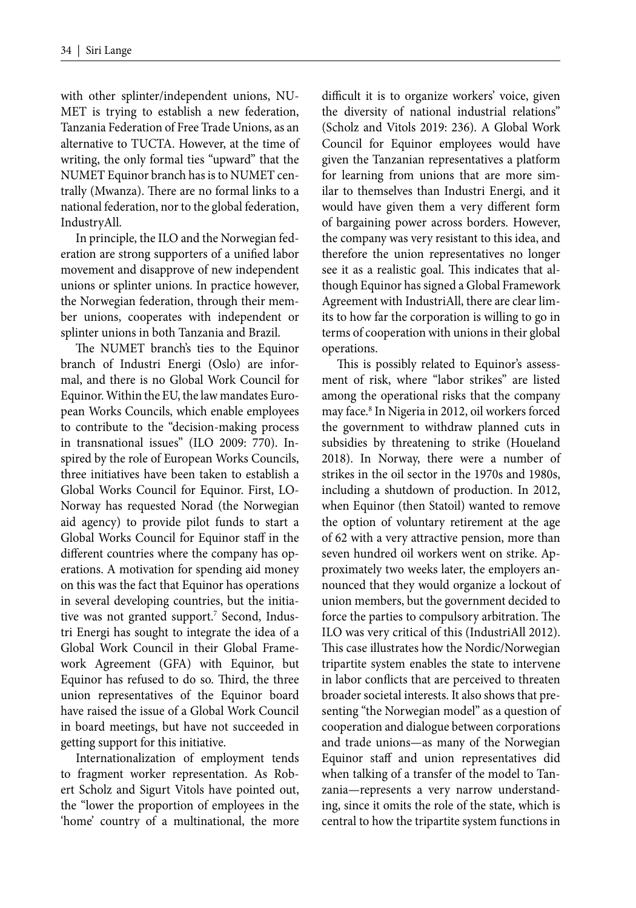with other splinter/independent unions, NU-MET is trying to establish a new federation, Tanzania Federation of Free Trade Unions, as an alternative to TUCTA. However, at the time of writing, the only formal ties "upward" that the NUMET Equinor branch has is to NUMET centrally (Mwanza). There are no formal links to a national federation, nor to the global federation, IndustryAll.

In principle, the ILO and the Norwegian federation are strong supporters of a unified labor movement and disapprove of new independent unions or splinter unions. In practice however, the Norwegian federation, through their member unions, cooperates with independent or splinter unions in both Tanzania and Brazil.

The NUMET branch's ties to the Equinor branch of Industri Energi (Oslo) are informal, and there is no Global Work Council for Equinor. Within the EU, the law mandates European Works Councils, which enable employees to contribute to the "decision-making process in transnational issues" (ILO 2009: 770). Inspired by the role of European Works Councils, three initiatives have been taken to establish a Global Works Council for Equinor. First, LO-Norway has requested Norad (the Norwegian aid agency) to provide pilot funds to start a Global Works Council for Equinor staff in the different countries where the company has operations. A motivation for spending aid money on this was the fact that Equinor has operations in several developing countries, but the initiative was not granted support.7 Second, Industri Energi has sought to integrate the idea of a Global Work Council in their Global Framework Agreement (GFA) with Equinor, but Equinor has refused to do so. Third, the three union representatives of the Equinor board have raised the issue of a Global Work Council in board meetings, but have not succeeded in getting support for this initiative.

Internationalization of employment tends to fragment worker representation. As Robert Scholz and Sigurt Vitols have pointed out, the "lower the proportion of employees in the 'home' country of a multinational, the more

difficult it is to organize workers' voice, given the diversity of national industrial relations" (Scholz and Vitols 2019: 236). A Global Work Council for Equinor employees would have given the Tanzanian representatives a platform for learning from unions that are more similar to themselves than Industri Energi, and it would have given them a very different form of bargaining power across borders. However, the company was very resistant to this idea, and therefore the union representatives no longer see it as a realistic goal. This indicates that although Equinor has signed a Global Framework Agreement with IndustriAll, there are clear limits to how far the corporation is willing to go in terms of cooperation with unions in their global operations.

This is possibly related to Equinor's assessment of risk, where "labor strikes" are listed among the operational risks that the company may face.8 In Nigeria in 2012, oil workers forced the government to withdraw planned cuts in subsidies by threatening to strike (Houeland 2018). In Norway, there were a number of strikes in the oil sector in the 1970s and 1980s, including a shutdown of production. In 2012, when Equinor (then Statoil) wanted to remove the option of voluntary retirement at the age of 62 with a very attractive pension, more than seven hundred oil workers went on strike. Approximately two weeks later, the employers announced that they would organize a lockout of union members, but the government decided to force the parties to compulsory arbitration. The ILO was very critical of this (IndustriAll 2012). This case illustrates how the Nordic/Norwegian tripartite system enables the state to intervene in labor conflicts that are perceived to threaten broader societal interests. It also shows that presenting "the Norwegian model" as a question of cooperation and dialogue between corporations and trade unions—as many of the Norwegian Equinor staff and union representatives did when talking of a transfer of the model to Tanzania—represents a very narrow understanding, since it omits the role of the state, which is central to how the tripartite system functions in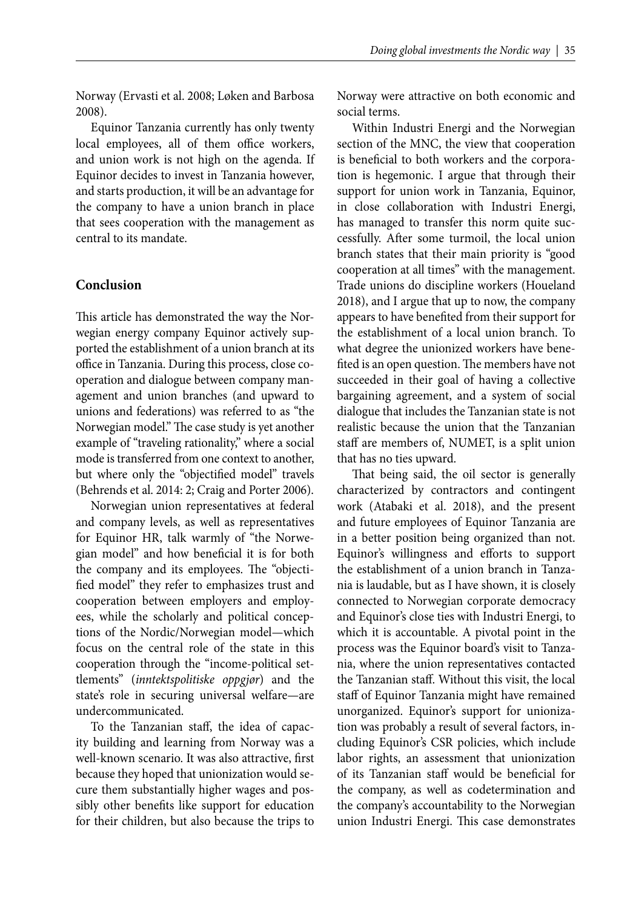Norway (Ervasti et al. 2008; Løken and Barbosa 2008).

Equinor Tanzania currently has only twenty local employees, all of them office workers, and union work is not high on the agenda. If Equinor decides to invest in Tanzania however, and starts production, it will be an advantage for the company to have a union branch in place that sees cooperation with the management as central to its mandate.

## **Conclusion**

This article has demonstrated the way the Norwegian energy company Equinor actively supported the establishment of a union branch at its office in Tanzania. During this process, close cooperation and dialogue between company management and union branches (and upward to unions and federations) was referred to as "the Norwegian model." The case study is yet another example of "traveling rationality," where a social mode is transferred from one context to another, but where only the "objectified model" travels (Behrends et al. 2014: 2; Craig and Porter 2006).

Norwegian union representatives at federal and company levels, as well as representatives for Equinor HR, talk warmly of "the Norwegian model" and how beneficial it is for both the company and its employees. The "objectified model" they refer to emphasizes trust and cooperation between employers and employees, while the scholarly and political conceptions of the Nordic/Norwegian model—which focus on the central role of the state in this cooperation through the "income-political settlements" (*inntektspolitiske oppgjør*) and the state's role in securing universal welfare—are undercommunicated.

To the Tanzanian staff, the idea of capacity building and learning from Norway was a well-known scenario. It was also attractive, first because they hoped that unionization would secure them substantially higher wages and possibly other benefits like support for education for their children, but also because the trips to Norway were attractive on both economic and social terms.

Within Industri Energi and the Norwegian section of the MNC, the view that cooperation is beneficial to both workers and the corporation is hegemonic. I argue that through their support for union work in Tanzania, Equinor, in close collaboration with Industri Energi, has managed to transfer this norm quite successfully. After some turmoil, the local union branch states that their main priority is "good cooperation at all times" with the management. Trade unions do discipline workers (Houeland 2018), and I argue that up to now, the company appears to have benefited from their support for the establishment of a local union branch. To what degree the unionized workers have benefited is an open question. The members have not succeeded in their goal of having a collective bargaining agreement, and a system of social dialogue that includes the Tanzanian state is not realistic because the union that the Tanzanian staff are members of, NUMET, is a split union that has no ties upward.

That being said, the oil sector is generally characterized by contractors and contingent work (Atabaki et al. 2018), and the present and future employees of Equinor Tanzania are in a better position being organized than not. Equinor's willingness and efforts to support the establishment of a union branch in Tanzania is laudable, but as I have shown, it is closely connected to Norwegian corporate democracy and Equinor's close ties with Industri Energi, to which it is accountable. A pivotal point in the process was the Equinor board's visit to Tanzania, where the union representatives contacted the Tanzanian staff. Without this visit, the local staff of Equinor Tanzania might have remained unorganized. Equinor's support for unionization was probably a result of several factors, including Equinor's CSR policies, which include labor rights, an assessment that unionization of its Tanzanian staff would be beneficial for the company, as well as codetermination and the company's accountability to the Norwegian union Industri Energi. This case demonstrates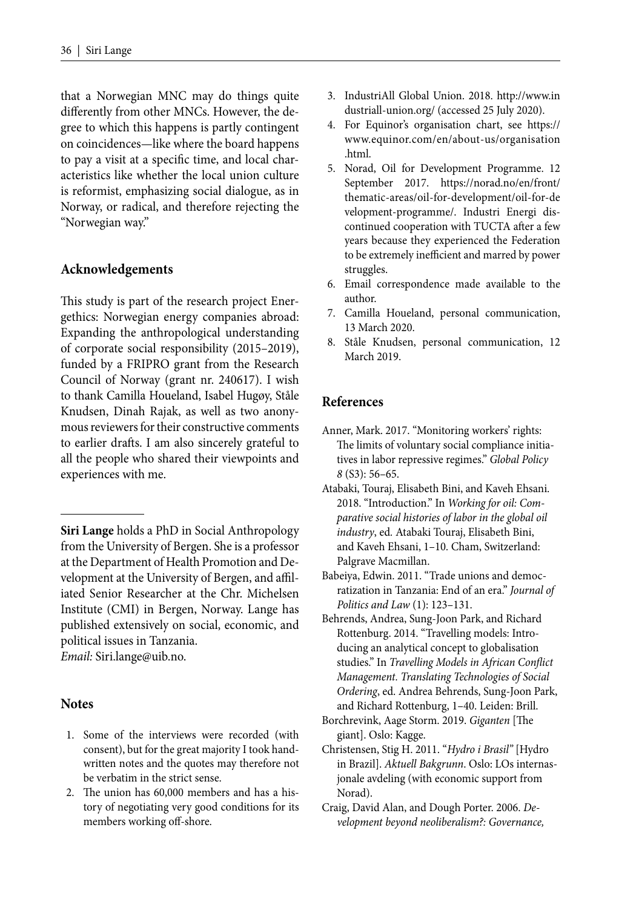that a Norwegian MNC may do things quite differently from other MNCs. However, the degree to which this happens is partly contingent on coincidences—like where the board happens to pay a visit at a specific time, and local characteristics like whether the local union culture is reformist, emphasizing social dialogue, as in Norway, or radical, and therefore rejecting the "Norwegian way."

#### **Acknowledgements**

This study is part of the research project Energethics: Norwegian energy companies abroad: Expanding the anthropological understanding of corporate social responsibility (2015–2019), funded by a FRIPRO grant from the Research Council of Norway (grant nr. 240617). I wish to thank Camilla Houeland, Isabel Hugøy, Ståle Knudsen, Dinah Rajak, as well as two anonymous reviewers for their constructive comments to earlier drafts. I am also sincerely grateful to all the people who shared their viewpoints and experiences with me.

**Siri Lange** holds a PhD in Social Anthropology from the University of Bergen. She is a professor at the Department of Health Promotion and Development at the University of Bergen, and affiliated Senior Researcher at the Chr. Michelsen Institute (CMI) in Bergen, Norway. Lange has published extensively on social, economic, and political issues in Tanzania. *Email:* Siri.lange@uib.no.

#### **Notes**

- 1. Some of the interviews were recorded (with consent), but for the great majority I took handwritten notes and the quotes may therefore not be verbatim in the strict sense.
- 2. The union has 60,000 members and has a history of negotiating very good conditions for its members working off -shore.
- 3. IndustriAll Global Union. 2018. http://www.in dustriall-union.org/ (accessed 25 July 2020).
- 4. For Equinor's organisation chart, see https:// www.equinor.com/en/about-us/organisation .html.
- 5. Norad, Oil for Development Programme. 12 September 2017. https://norad.no/en/front/ thematic-areas/oil-for-development/oil-for-de velopment-programme/. Industri Energi discontinued cooperation with TUCTA after a few years because they experienced the Federation to be extremely inefficient and marred by power struggles.
- 6. Email correspondence made available to the author.
- 7. Camilla Houeland, personal communication, 13 March 2020.
- 8. Ståle Knudsen, personal communication, 12 March 2019.

#### **References**

- Anner, Mark. 2017. "Monitoring workers' rights: The limits of voluntary social compliance initiatives in labor repressive regimes." *Global Policy 8* (S3): 56–65.
- Atabaki, Touraj, Elisabeth Bini, and Kaveh Ehsani. 2018. "Introduction." In *Working for oil: Comparative social histories of labor in the global oil industry*, ed*.* Atabaki Touraj, Elisabeth Bini, and Kaveh Ehsani, 1–10*.* Cham, Switzerland: Palgrave Macmillan.
- Babeiya, Edwin. 2011. "Trade unions and democratization in Tanzania: End of an era." *Journal of Politics and Law* (1): 123–131.
- Behrends, Andrea, Sung-Joon Park, and Richard Rottenburg. 2014. "Travelling models: Introducing an analytical concept to globalisation studies." In *Travelling Models in African Conflict Management. Translating Technologies of Social Ordering*, ed. Andrea Behrends, Sung-Joon Park, and Richard Rottenburg, 1–40. Leiden: Brill.
- Borchrevink, Aage Storm. 2019. *Giganten* [The giant]. Oslo: Kagge.
- Christensen, Stig H. 2011. "*Hydro i Brasil"* [Hydro in Brazil]. *Aktuell Bakgrunn*. Oslo: LOs internasjonale avdeling (with economic support from Norad).
- Craig, David Alan, and Dough Porter. 2006. *Development beyond neoliberalism?: Governance,*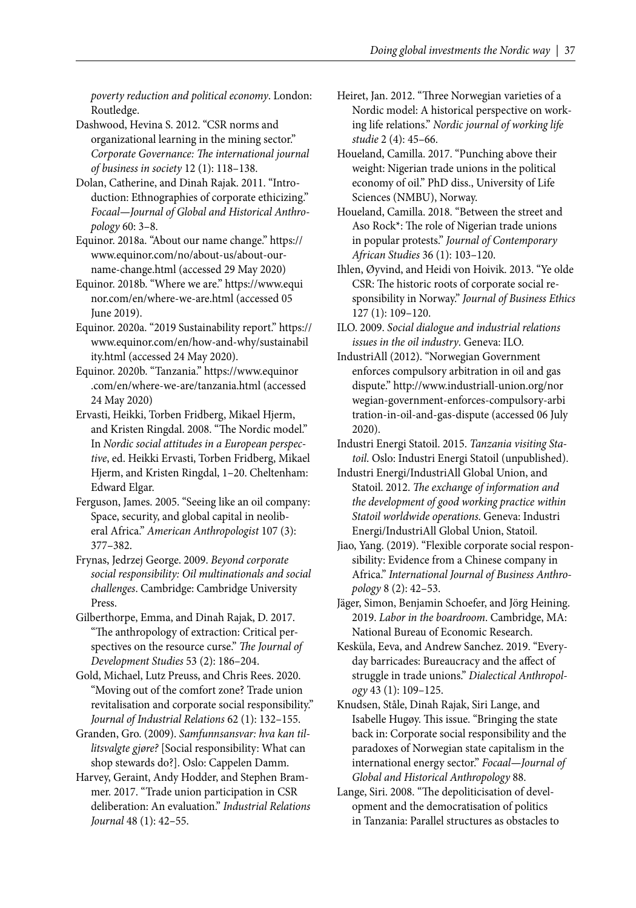*poverty reduction and political economy*. London: Routledge.

Dashwood, Hevina S. 2012. "CSR norms and organizational learning in the mining sector." *Corporate Governance: The international journal of business in society* 12 (1): 118–138.

Dolan, Catherine, and Dinah Rajak. 2011. "Introduction: Ethnographies of corporate ethicizing." *Focaal—Journal of Global and Historical Anthropology* 60: 3–8.

Equinor. 2018a. "About our name change." https:// www.equinor.com/no/about-us/about-ourname-change.html (accessed 29 May 2020)

Equinor. 2018b. "Where we are." https://www.equi nor.com/en/where-we-are.html (accessed 05 June 2019).

Equinor. 2020a. "2019 Sustainability report." https:// www.equinor.com/en/how-and-why/sustainabil ity.html (accessed 24 May 2020).

Equinor. 2020b. "Tanzania." https://www.equinor .com/en/where-we-are/tanzania.html (accessed 24 May 2020)

Ervasti, Heikki, Torben Fridberg, Mikael Hjerm, and Kristen Ringdal. 2008. "The Nordic model." In *Nordic social attitudes in a European perspective*, ed. Heikki Ervasti, Torben Fridberg, Mikael Hjerm, and Kristen Ringdal, 1–20. Cheltenham: Edward Elgar.

Ferguson, James. 2005. "Seeing like an oil company: Space, security, and global capital in neoliberal Africa." *American Anthropologist* 107 (3): 377–382.

Frynas, Jedrzej George. 2009. *Beyond corporate social responsibility: Oil multinationals and social challenges*. Cambridge: Cambridge University Press.

Gilberthorpe, Emma, and Dinah Rajak, D. 2017. "The anthropology of extraction: Critical perspectives on the resource curse." *The Journal of Development Studies* 53 (2): 186–204.

Gold, Michael, Lutz Preuss, and Chris Rees. 2020. "Moving out of the comfort zone? Trade union revitalisation and corporate social responsibility." *Journal of Industrial Relations* 62 (1): 132–155.

Granden, Gro. (2009). *Samfunnsansvar: hva kan tillitsvalgte gjøre?* [Social responsibility: What can shop stewards do?]. Oslo: Cappelen Damm.

Harvey, Geraint, Andy Hodder, and Stephen Brammer. 2017. "Trade union participation in CSR deliberation: An evaluation." *Industrial Relations Journal* 48 (1): 42–55.

Heiret, Jan. 2012. "Three Norwegian varieties of a Nordic model: A historical perspective on working life relations." *Nordic journal of working life studie* 2 (4): 45–66.

Houeland, Camilla. 2017. "Punching above their weight: Nigerian trade unions in the political economy of oil." PhD diss., University of Life Sciences (NMBU), Norway.

Houeland, Camilla. 2018. "Between the street and Aso Rock\*: The role of Nigerian trade unions in popular protests." *Journal of Contemporary African Studies* 36 (1): 103–120.

Ihlen, Øyvind, and Heidi von Hoivik. 2013. "Ye olde CSR: The historic roots of corporate social responsibility in Norway." *Journal of Business Ethics*  127 (1): 109–120.

ILO. 2009. *Social dialogue and industrial relations issues in the oil industry*. Geneva: ILO.

IndustriAll (2012). "Norwegian Government enforces compulsory arbitration in oil and gas dispute." http://www.industriall-union.org/nor wegian-government-enforces-compulsory-arbi tration-in-oil-and-gas-dispute (accessed 06 July 2020).

Industri Energi Statoil. 2015. *Tanzania visiting Statoil*. Oslo: Industri Energi Statoil (unpublished).

Industri Energi/IndustriAll Global Union, and Statoil. 2012. *The exchange of information and the development of good working practice within Statoil worldwide operations*. Geneva: Industri Energi/IndustriAll Global Union, Statoil.

Jiao, Yang. (2019). "Flexible corporate social responsibility: Evidence from a Chinese company in Africa." *International Journal of Business Anthropology* 8 (2): 42–53.

Jäger, Simon, Benjamin Schoefer, and Jörg Heining. 2019. *Labor in the boardroom*. Cambridge, MA: National Bureau of Economic Research.

Kesküla, Eeva, and Andrew Sanchez. 2019. "Everyday barricades: Bureaucracy and the affect of struggle in trade unions." *Dialectical Anthropology* 43 (1): 109–125.

Knudsen, Ståle, Dinah Rajak, Siri Lange, and Isabelle Hugøy. This issue. "Bringing the state back in: Corporate social responsibility and the paradoxes of Norwegian state capitalism in the international energy sector." *Focaal—Journal of Global and Historical Anthropology* 88.

Lange, Siri. 2008. "The depoliticisation of development and the democratisation of politics in Tanzania: Parallel structures as obstacles to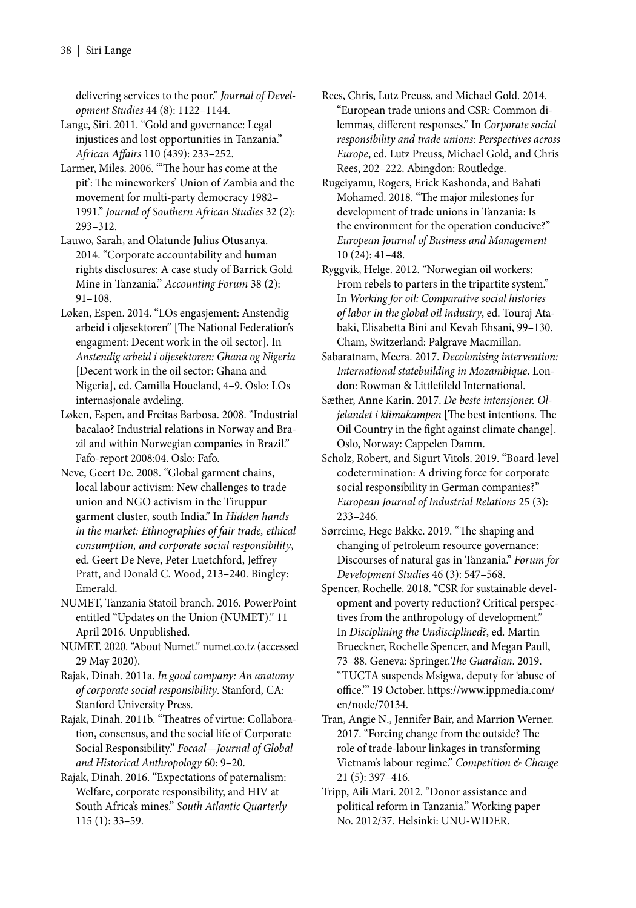delivering services to the poor." *Journal of Development Studies* 44 (8): 1122–1144.

Lange, Siri. 2011. "Gold and governance: Legal injustices and lost opportunities in Tanzania." *African Aff airs* 110 (439): 233–252.

Larmer, Miles. 2006. "The hour has come at the pit': The mineworkers' Union of Zambia and the movement for multi-party democracy 1982– 1991." *Journal of Southern African Studies* 32 (2): 293–312.

Lauwo, Sarah, and Olatunde Julius Otusanya. 2014. "Corporate accountability and human rights disclosures: A case study of Barrick Gold Mine in Tanzania." *Accounting Forum* 38 (2): 91–108.

Løken, Espen. 2014. "LOs engasjement: Anstendig arbeid i oljesektoren" [The National Federation's engagment: Decent work in the oil sector]. In *Anstendig arbeid i oljesektoren: Ghana og Nigeria*  [Decent work in the oil sector: Ghana and Nigeria], ed. Camilla Houeland, 4–9. Oslo: LOs internasjonale avdeling.

Løken, Espen, and Freitas Barbosa. 2008. "Industrial bacalao? Industrial relations in Norway and Brazil and within Norwegian companies in Brazil." Fafo-report 2008:04. Oslo: Fafo.

Neve, Geert De. 2008. "Global garment chains, local labour activism: New challenges to trade union and NGO activism in the Tiruppur garment cluster, south India." In *Hidden hands in the market: Ethnographies of fair trade, ethical consumption, and corporate social responsibility*, ed. Geert De Neve, Peter Luetchford, Jeffrey Pratt, and Donald C. Wood, 213–240. Bingley: Emerald.

NUMET, Tanzania Statoil branch. 2016. PowerPoint entitled "Updates on the Union (NUMET)." 11 April 2016. Unpublished.

NUMET. 2020. "About Numet." numet.co.tz (accessed 29 May 2020).

Rajak, Dinah. 2011a. *In good company: An anatomy of corporate social responsibility*. Stanford, CA: Stanford University Press.

Rajak, Dinah. 2011b. "Theatres of virtue: Collaboration, consensus, and the social life of Corporate Social Responsibility." *Focaal—Journal of Global and Historical Anthropology* 60: 9–20.

Rajak, Dinah. 2016. "Expectations of paternalism: Welfare, corporate responsibility, and HIV at South Africa's mines." *South Atlantic Quarterly*  115 (1): 33–59.

Rees, Chris, Lutz Preuss, and Michael Gold. 2014. "European trade unions and CSR: Common dilemmas, different responses." In Corporate social *responsibility and trade unions: Perspectives across Europe*, ed*.* Lutz Preuss, Michael Gold, and Chris Rees, 202–222. Abingdon: Routledge.

Rugeiyamu, Rogers, Erick Kashonda, and Bahati Mohamed. 2018. "The major milestones for development of trade unions in Tanzania: Is the environment for the operation conducive?" *European Journal of Business and Management*  10 (24): 41–48.

Ryggvik, Helge. 2012. "Norwegian oil workers: From rebels to parters in the tripartite system." In *Working for oil: Comparative social histories of labor in the global oil industry*, ed. Touraj Atabaki, Elisabetta Bini and Kevah Ehsani, 99–130. Cham, Switzerland: Palgrave Macmillan.

Sabaratnam, Meera. 2017. *Decolonising intervention: International statebuilding in Mozambique*. London: Rowman & Littlefileld International.

Sæther, Anne Karin. 2017. *De beste intensjoner. Oljelandet i klimakampen* [The best intentions. The Oil Country in the fight against climate change]. Oslo, Norway: Cappelen Damm.

Scholz, Robert, and Sigurt Vitols. 2019. "Board-level codetermination: A driving force for corporate social responsibility in German companies?" *European Journal of Industrial Relations* 25 (3): 233–246.

Sørreime, Hege Bakke. 2019. "The shaping and changing of petroleum resource governance: Discourses of natural gas in Tanzania." *Forum for Development Studies* 46 (3): 547–568.

Spencer, Rochelle. 2018. "CSR for sustainable development and poverty reduction? Critical perspectives from the anthropology of development." In *Disciplining the Undisciplined?*, ed*.* Martin Brueckner, Rochelle Spencer, and Megan Paull, 73-88. Geneva: Springer. The Guardian. 2019. "TUCTA suspends Msigwa, deputy for 'abuse of office." 19 October. https://www.ippmedia.com/ en/node/70134.

Tran, Angie N., Jennifer Bair, and Marrion Werner. 2017. "Forcing change from the outside? The role of trade-labour linkages in transforming Vietnam's labour regime." *Competition & Change*  21 (5): 397–416.

Tripp, Aili Mari. 2012. "Donor assistance and political reform in Tanzania." Working paper No. 2012/37. Helsinki: UNU-WIDER.